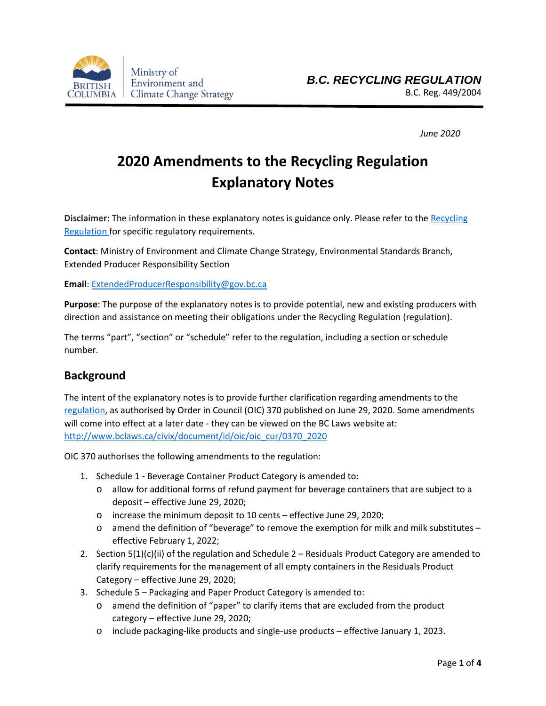

*June 2020*

# **2020 Amendments to the Recycling Regulation Explanatory Notes**

**Disclaimer:** The information in these explanatory notes is guidance only. Please refer to the [Recycling](http://www.bclaws.ca/EPLibraries/bclaws_new/document/ID/freeside/449_2004)  [Regulation](http://www.bclaws.ca/EPLibraries/bclaws_new/document/ID/freeside/449_2004) for specific regulatory requirements.

**Contact**: Ministry of Environment and Climate Change Strategy, Environmental Standards Branch, Extended Producer Responsibility Section

**Email**[: ExtendedProducerResponsibility@gov.bc.ca](mailto:ExtendedProducerResponsibility@gov.bc.ca)

**Purpose**: The purpose of the explanatory notes is to provide potential, new and existing producers with direction and assistance on meeting their obligations under the Recycling Regulation (regulation).

The terms "part", "section" or "schedule" refer to the regulation, including a section or schedule number.

# **Background**

The intent of the explanatory notes is to provide further clarification regarding amendments to the [regulation,](http://www.bclaws.ca/EPLibraries/bclaws_new/document/ID/freeside/449_2004) as authorised by Order in Council (OIC) 370 published on June 29, 2020. Some amendments will come into effect at a later date - they can be viewed on the BC Laws website at: [http://www.bclaws.ca/civix/document/id/oic/oic\\_cur/0370\\_2020](http://www.bclaws.ca/civix/document/id/oic/oic_cur/0370_2020)

OIC 370 authorises the following amendments to the regulation:

- 1. Schedule 1 Beverage Container Product Category is amended to:
	- o allow for additional forms of refund payment for beverage containers that are subject to a deposit – effective June 29, 2020;
	- o increase the minimum deposit to 10 cents effective June 29, 2020;
	- $\circ$  amend the definition of "beverage" to remove the exemption for milk and milk substitutes effective February 1, 2022;
- 2. Section  $5(1)(c)(ii)$  of the regulation and Schedule 2 Residuals Product Category are amended to clarify requirements for the management of all empty containers in the Residuals Product Category – effective June 29, 2020;
- 3. Schedule 5 Packaging and Paper Product Category is amended to:
	- o amend the definition of "paper" to clarify items that are excluded from the product category – effective June 29, 2020;
	- o include packaging-like products and single-use products effective January 1, 2023.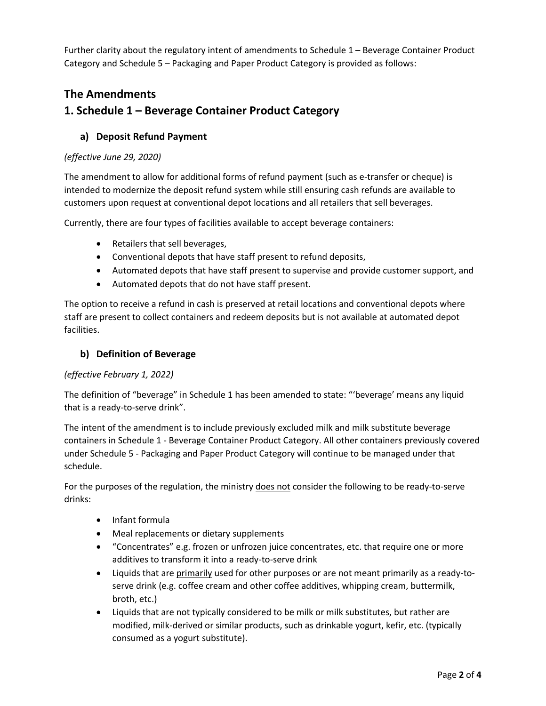Further clarity about the regulatory intent of amendments to Schedule 1 – Beverage Container Product Category and Schedule 5 – Packaging and Paper Product Category is provided as follows:

# **The Amendments 1. Schedule 1 – Beverage Container Product Category**

## **a) Deposit Refund Payment**

#### *(effective June 29, 2020)*

The amendment to allow for additional forms of refund payment (such as e-transfer or cheque) is intended to modernize the deposit refund system while still ensuring cash refunds are available to customers upon request at conventional depot locations and all retailers that sell beverages.

Currently, there are four types of facilities available to accept beverage containers:

- Retailers that sell beverages,
- Conventional depots that have staff present to refund deposits,
- Automated depots that have staff present to supervise and provide customer support, and
- Automated depots that do not have staff present.

The option to receive a refund in cash is preserved at retail locations and conventional depots where staff are present to collect containers and redeem deposits but is not available at automated depot facilities.

#### **b) Definition of Beverage**

#### *(effective February 1, 2022)*

The definition of "beverage" in Schedule 1 has been amended to state: "'beverage' means any liquid that is a ready-to-serve drink".

The intent of the amendment is to include previously excluded milk and milk substitute beverage containers in Schedule 1 - Beverage Container Product Category. All other containers previously covered under Schedule 5 - Packaging and Paper Product Category will continue to be managed under that schedule.

For the purposes of the regulation, the ministry does not consider the following to be ready-to-serve drinks:

- Infant formula
- Meal replacements or dietary supplements
- "Concentrates" e.g. frozen or unfrozen juice concentrates, etc. that require one or more additives to transform it into a ready-to-serve drink
- Liquids that are primarily used for other purposes or are not meant primarily as a ready-toserve drink (e.g. coffee cream and other coffee additives, whipping cream, buttermilk, broth, etc.)
- Liquids that are not typically considered to be milk or milk substitutes, but rather are modified, milk-derived or similar products, such as drinkable yogurt, kefir, etc. (typically consumed as a yogurt substitute).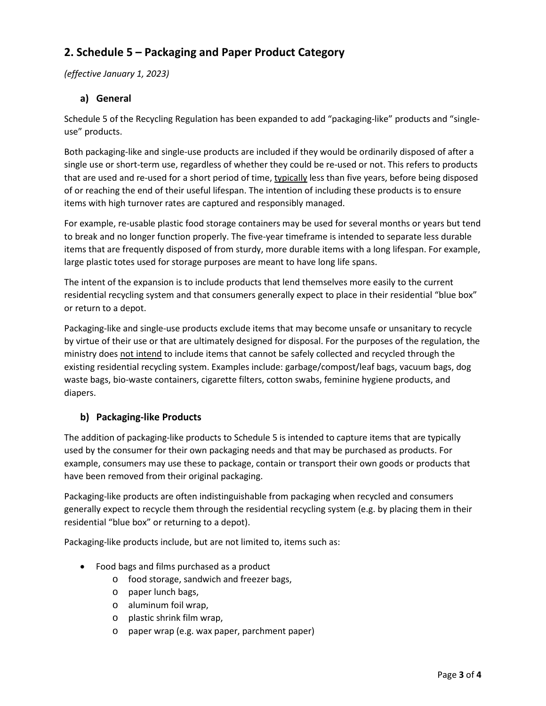# **2. Schedule 5 – Packaging and Paper Product Category**

*(effective January 1, 2023)*

## **a) General**

Schedule 5 of the Recycling Regulation has been expanded to add "packaging-like" products and "singleuse" products.

Both packaging-like and single-use products are included if they would be ordinarily disposed of after a single use or short-term use, regardless of whether they could be re-used or not. This refers to products that are used and re-used for a short period of time, typically less than five years, before being disposed of or reaching the end of their useful lifespan. The intention of including these products is to ensure items with high turnover rates are captured and responsibly managed.

For example, re-usable plastic food storage containers may be used for several months or years but tend to break and no longer function properly. The five-year timeframe is intended to separate less durable items that are frequently disposed of from sturdy, more durable items with a long lifespan. For example, large plastic totes used for storage purposes are meant to have long life spans.

The intent of the expansion is to include products that lend themselves more easily to the current residential recycling system and that consumers generally expect to place in their residential "blue box" or return to a depot.

Packaging-like and single-use products exclude items that may become unsafe or unsanitary to recycle by virtue of their use or that are ultimately designed for disposal. For the purposes of the regulation, the ministry does not intend to include items that cannot be safely collected and recycled through the existing residential recycling system. Examples include: garbage/compost/leaf bags, vacuum bags, dog waste bags, bio-waste containers, cigarette filters, cotton swabs, feminine hygiene products, and diapers.

### **b) Packaging-like Products**

The addition of packaging-like products to Schedule 5 is intended to capture items that are typically used by the consumer for their own packaging needs and that may be purchased as products. For example, consumers may use these to package, contain or transport their own goods or products that have been removed from their original packaging.

Packaging-like products are often indistinguishable from packaging when recycled and consumers generally expect to recycle them through the residential recycling system (e.g. by placing them in their residential "blue box" or returning to a depot).

Packaging-like products include, but are not limited to, items such as:

- Food bags and films purchased as a product
	- o food storage, sandwich and freezer bags,
	- o paper lunch bags,
	- o aluminum foil wrap,
	- o plastic shrink film wrap,
	- o paper wrap (e.g. wax paper, parchment paper)